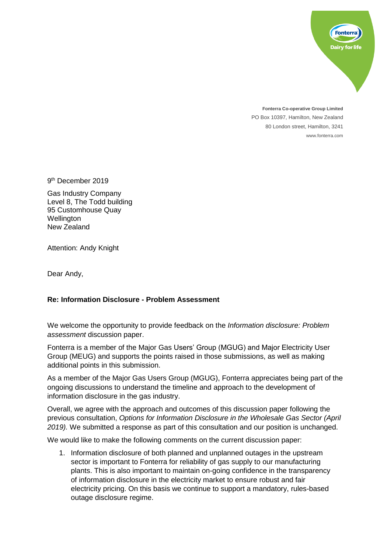

**Fonterra Co-operative Group Limited** PO Box 10397, Hamilton, New Zealand 80 London street, Hamilton, 3241 www.fonterra.com

9<sup>th</sup> December 2019

Gas Industry Company Level 8, The Todd building 95 Customhouse Quay **Wellington** New Zealand

Attention: Andy Knight

Dear Andy,

## **Re: Information Disclosure - Problem Assessment**

We welcome the opportunity to provide feedback on the *Information disclosure: Problem assessment* discussion paper.

Fonterra is a member of the Major Gas Users' Group (MGUG) and Major Electricity User Group (MEUG) and supports the points raised in those submissions, as well as making additional points in this submission.

As a member of the Major Gas Users Group (MGUG), Fonterra appreciates being part of the ongoing discussions to understand the timeline and approach to the development of information disclosure in the gas industry.

Overall, we agree with the approach and outcomes of this discussion paper following the previous consultation, *Options for Information Disclosure in the Wholesale Gas Sector (April 2019).* We submitted a response as part of this consultation and our position is unchanged.

We would like to make the following comments on the current discussion paper:

1. Information disclosure of both planned and unplanned outages in the upstream sector is important to Fonterra for reliability of gas supply to our manufacturing plants. This is also important to maintain on-going confidence in the transparency of information disclosure in the electricity market to ensure robust and fair electricity pricing. On this basis we continue to support a mandatory, rules-based outage disclosure regime.